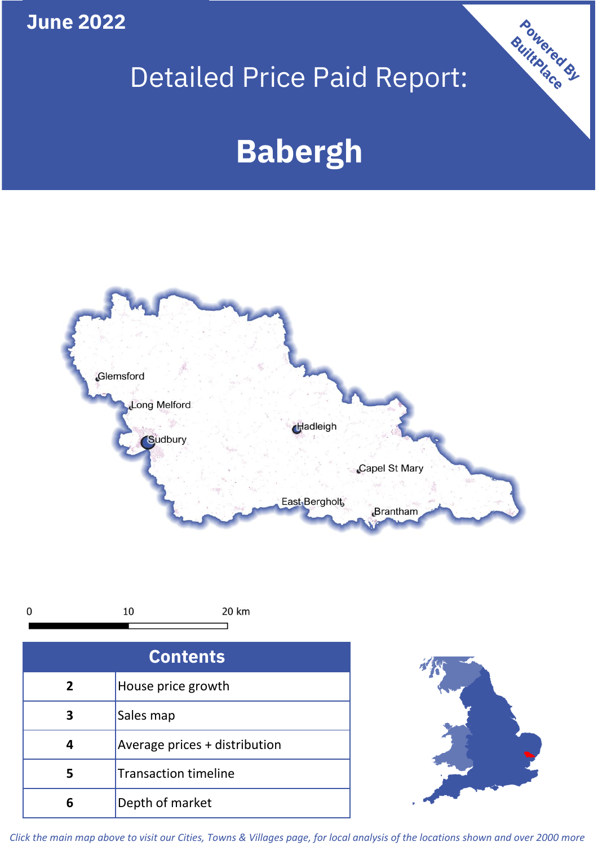**June 2022**

# Detailed Price Paid Report:

# **Babergh**





| <b>Contents</b> |                               |  |  |
|-----------------|-------------------------------|--|--|
| $\overline{2}$  | House price growth            |  |  |
|                 | Sales map                     |  |  |
|                 | Average prices + distribution |  |  |
| 5               | <b>Transaction timeline</b>   |  |  |
| h               | Depth of market               |  |  |



Powered By

*Click the main map above to visit our Cities, Towns & Villages page, for local analysis of the locations shown and over 2000 more*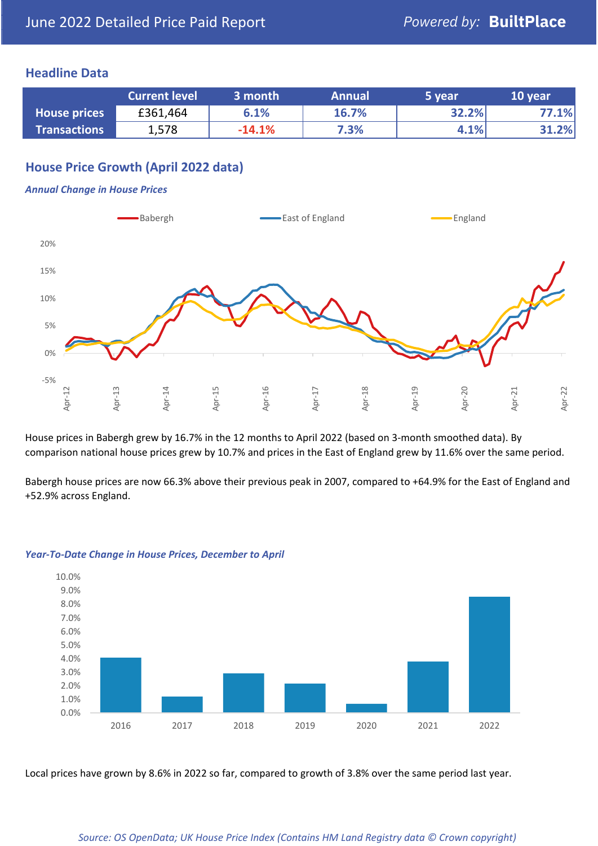## **Headline Data**

|                     | <b>Current level</b> | 3 month  | <b>Annual</b> | 5 vear | 10 year |
|---------------------|----------------------|----------|---------------|--------|---------|
| <b>House prices</b> | £361,464             | 6.1%     | 16.7%         | 32.2%  | 77.1%   |
| <b>Transactions</b> | 1,578                | $-14.1%$ | 7.3%          | 4.1%   | 31.2%   |

## **House Price Growth (April 2022 data)**

#### *Annual Change in House Prices*



House prices in Babergh grew by 16.7% in the 12 months to April 2022 (based on 3-month smoothed data). By comparison national house prices grew by 10.7% and prices in the East of England grew by 11.6% over the same period.

Babergh house prices are now 66.3% above their previous peak in 2007, compared to +64.9% for the East of England and +52.9% across England.



#### *Year-To-Date Change in House Prices, December to April*

Local prices have grown by 8.6% in 2022 so far, compared to growth of 3.8% over the same period last year.

### *Source: OS OpenData; UK House Price Index (Contains HM Land Registry data © Crown copyright)*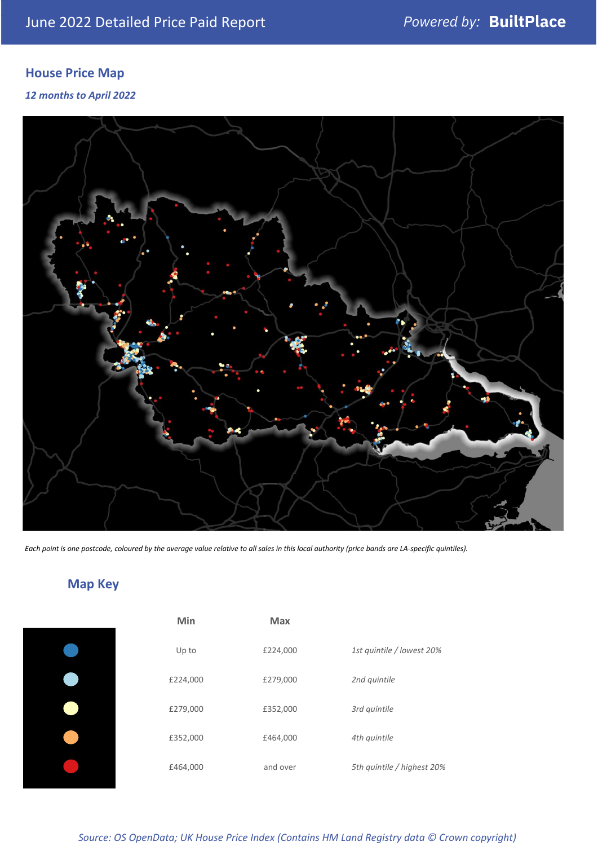# **House Price Map**

*12 months to April 2022*



*Each point is one postcode, coloured by the average value relative to all sales in this local authority (price bands are LA-specific quintiles).*

# **Map Key**

| Min      | <b>Max</b> |                            |
|----------|------------|----------------------------|
| Up to    | £224,000   | 1st quintile / lowest 20%  |
| £224,000 | £279,000   | 2nd quintile               |
| £279,000 | £352,000   | 3rd quintile               |
| £352,000 | £464,000   | 4th quintile               |
| £464,000 | and over   | 5th quintile / highest 20% |
|          |            |                            |

| £279,000 | £352,000 | 3rd quintile               |
|----------|----------|----------------------------|
| £352,000 | £464,000 | 4th quintile               |
| £464,000 | and over | 5th quintile / highest 20% |
|          |          |                            |

#### *Source: OS OpenData; UK House Price Index (Contains HM Land Registry data © Crown copyright)*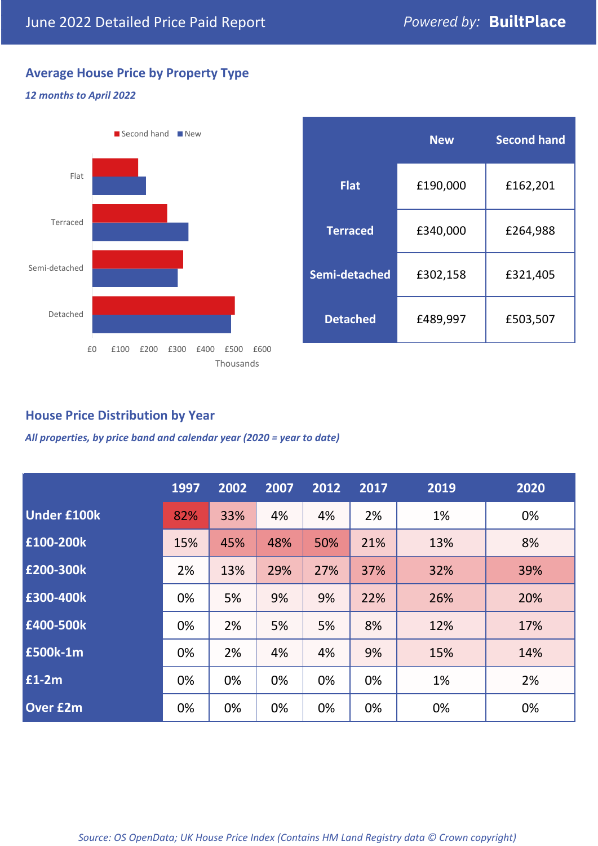# **Average House Price by Property Type**

## *12 months to April 2022*



|                 | <b>New</b> | <b>Second hand</b> |  |  |
|-----------------|------------|--------------------|--|--|
| <b>Flat</b>     | £190,000   | £162,201           |  |  |
| <b>Terraced</b> | £340,000   | £264,988           |  |  |
| Semi-detached   | £302,158   | £321,405           |  |  |
| <b>Detached</b> | £489,997   | £503,507           |  |  |

## **House Price Distribution by Year**

*All properties, by price band and calendar year (2020 = year to date)*

|                    | 1997 | 2002 | 2007 | 2012 | 2017 | 2019 | 2020 |
|--------------------|------|------|------|------|------|------|------|
| <b>Under £100k</b> | 82%  | 33%  | 4%   | 4%   | 2%   | 1%   | 0%   |
| £100-200k          | 15%  | 45%  | 48%  | 50%  | 21%  | 13%  | 8%   |
| E200-300k          | 2%   | 13%  | 29%  | 27%  | 37%  | 32%  | 39%  |
| £300-400k          | 0%   | 5%   | 9%   | 9%   | 22%  | 26%  | 20%  |
| £400-500k          | 0%   | 2%   | 5%   | 5%   | 8%   | 12%  | 17%  |
| £500k-1m           | 0%   | 2%   | 4%   | 4%   | 9%   | 15%  | 14%  |
| £1-2m              | 0%   | 0%   | 0%   | 0%   | 0%   | 1%   | 2%   |
| <b>Over £2m</b>    | 0%   | 0%   | 0%   | 0%   | 0%   | 0%   | 0%   |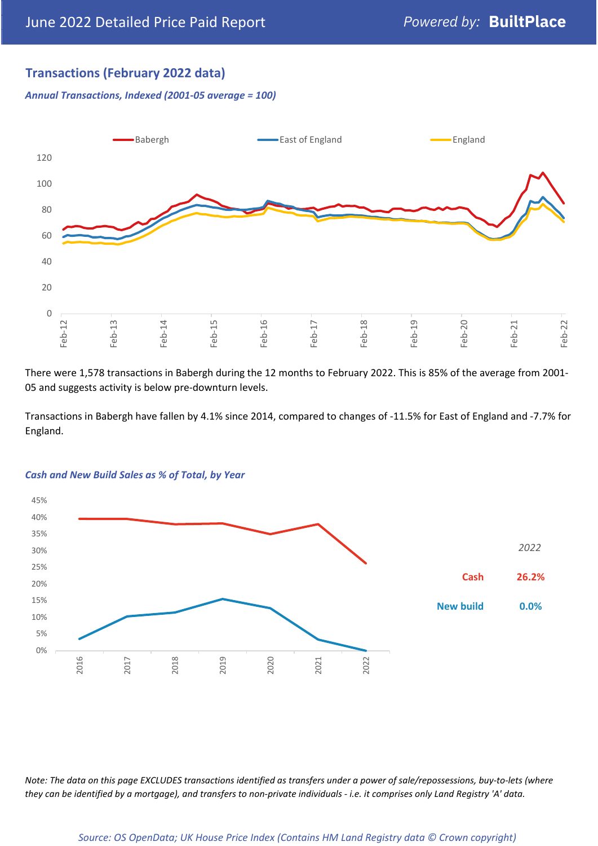## **Transactions (February 2022 data)**

*Annual Transactions, Indexed (2001-05 average = 100)*



There were 1,578 transactions in Babergh during the 12 months to February 2022. This is 85% of the average from 2001- 05 and suggests activity is below pre-downturn levels.

Transactions in Babergh have fallen by 4.1% since 2014, compared to changes of -11.5% for East of England and -7.7% for England.



#### *Cash and New Build Sales as % of Total, by Year*

*Note: The data on this page EXCLUDES transactions identified as transfers under a power of sale/repossessions, buy-to-lets (where they can be identified by a mortgage), and transfers to non-private individuals - i.e. it comprises only Land Registry 'A' data.*